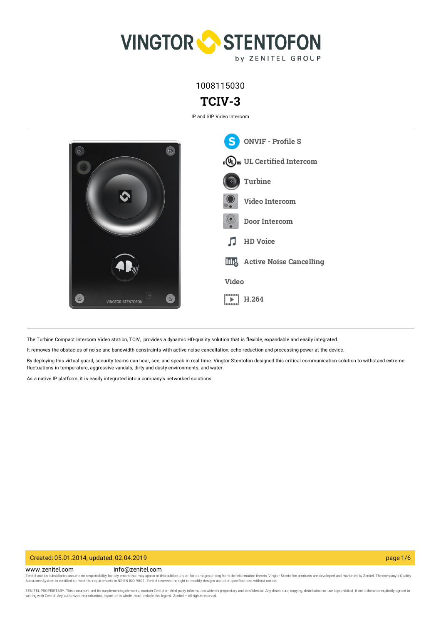

1008115030

# **TCIV-3**

IP and SIP Video Intercom



The Turbine Compact Intercom Video station, TCIV, provides a dynamic HD-quality solution that is flexible, expandable and easily integrated.

It removes the obstacles of noise and bandwidth constraints with active noise cancellation, echo reduction and processing power at the device.

By deploying this virtual guard, security teams can hear, see, and speak in real time. Vingtor-Stentofon designed this critical communication solution to withstand extreme fluctuations in temperature, aggressive vandals, dirty and dusty environments, and water.

As a native IP platform, it is easily integrated into a company's networked solutions.

#### Created: 05.01.2014, updated: 02.04.2019 page 1/6

www.zenitel.com info@zenitel.com

Zenitel and its subsidiaries assume no responsibility for any errors that may appear in this publication, or for damages arising from the information therein. Vingtor-Stentofon products are developed and marketed by Zenite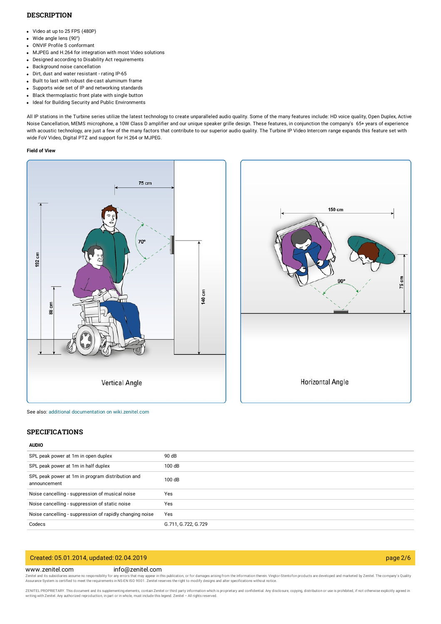### **DESCRIPTION**

- Video at up to 25 FPS (480P)
- Wide angle lens (90°)
- ONVIF Profile S conformant
- MJPEG and H.264 for integration with most Video solutions
- Designed according to Disability Act requirements
- Background noise cancellation
- Dirt, dust and water resistant rating IP-65
- Built to last with robust die-cast aluminum frame
- Supports wide set of IP and networking standards
- Black thermoplastic front plate with single button  $\bullet$
- Ideal for Building Security and Public Environments

All IP stations in the Turbine series utilize the latest technology to create unparalleled audio quality. Some of the many features include: HD voice quality, Open Duplex, Active Noise Cancellation, MEMS microphone, a 10W Class D amplifier and our unique speaker grille design. These features, in conjunction the company's 65+ years of experience with acoustic technology, are just a few of the many factors that contribute to our superior audio quality. The Turbine IP Video Intercom range expands this feature set with wide FoV Video, Digital PTZ and support for H.264 or MJPEG.

#### **Field of View**





See also: additional documentation on [wiki.zenitel.com](https://wiki.zenitel.com/wiki/TCIV-3)

#### **SPECIFICATIONS**

#### **AUDIO**

| SPL peak power at 1m in open duplex                              | 90 dB               |
|------------------------------------------------------------------|---------------------|
| SPL peak power at 1m in half duplex                              | 100dB               |
| SPL peak power at 1m in program distribution and<br>announcement | 100dB               |
| Noise cancelling - suppression of musical noise                  | Yes                 |
| Noise cancelling - suppression of static noise                   | Yes                 |
| Noise cancelling - suppression of rapidly changing noise         | Yes                 |
| Codecs                                                           | G.711, G.722, G.729 |

## Created: 05.01.2014, updated: 02.04.2019 page 2/6

#### www.zenitel.com info@zenitel.com

Zenitel and its subsidiaries assume no responsibility for any errors that may appear in this publication, or for damages arising from the information therein. Vingtor-Stentofon products are developed and marketed by Zenite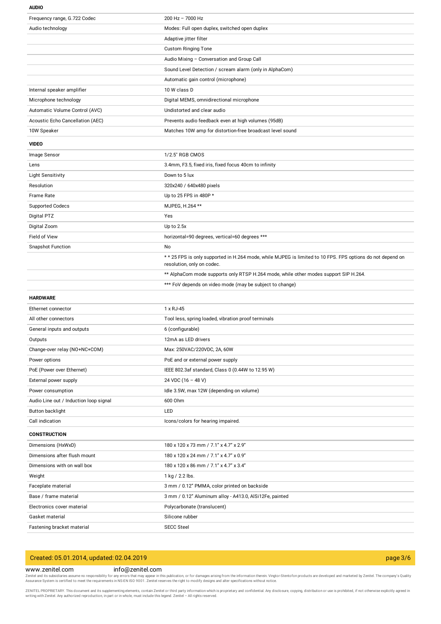#### **AUDIO**

| Frequency range, G.722 Codec           | $200$ Hz $- 7000$ Hz                                                                                                                    |
|----------------------------------------|-----------------------------------------------------------------------------------------------------------------------------------------|
| Audio technology                       | Modes: Full open duplex, switched open duplex                                                                                           |
|                                        | Adaptive jitter filter                                                                                                                  |
|                                        | <b>Custom Ringing Tone</b>                                                                                                              |
|                                        | Audio Mixing - Conversation and Group Call                                                                                              |
|                                        | Sound Level Detection / scream alarm (only in AlphaCom)                                                                                 |
|                                        | Automatic gain control (microphone)                                                                                                     |
| Internal speaker amplifier             | 10 W class D                                                                                                                            |
| Microphone technology                  | Digital MEMS, omnidirectional microphone                                                                                                |
| Automatic Volume Control (AVC)         | Undistorted and clear audio                                                                                                             |
| Acoustic Echo Cancellation (AEC)       | Prevents audio feedback even at high volumes (95dB)                                                                                     |
| 10W Speaker                            | Matches 10W amp for distortion-free broadcast level sound                                                                               |
| <b>VIDEO</b>                           |                                                                                                                                         |
| Image Sensor                           | 1/2.5" RGB CMOS                                                                                                                         |
| Lens                                   | 3.4mm, F3.5, fixed iris, fixed focus 40cm to infinity                                                                                   |
| <b>Light Sensitivity</b>               | Down to 5 lux                                                                                                                           |
| Resolution                             | 320x240 / 640x480 pixels                                                                                                                |
| <b>Frame Rate</b>                      | Up to 25 FPS in 480P *                                                                                                                  |
| <b>Supported Codecs</b>                | MJPEG, H.264 **                                                                                                                         |
| Digital PTZ                            | Yes                                                                                                                                     |
| Digital Zoom                           | Up to 2.5x                                                                                                                              |
| Field of View                          | horizontal=90 degrees, vertical=60 degrees ***                                                                                          |
| <b>Snapshot Function</b>               | No                                                                                                                                      |
|                                        | ** 25 FPS is only supported in H.264 mode, while MJPEG is limited to 10 FPS. FPS options do not depend on<br>resolution, only on codec. |
|                                        | ** AlphaCom mode supports only RTSP H.264 mode, while other modes support SIP H.264.                                                    |
|                                        | *** FoV depends on video mode (may be subject to change)                                                                                |
| <b>HARDWARE</b>                        |                                                                                                                                         |
| Ethernet connector                     | 1 x RJ-45                                                                                                                               |
| All other connectors                   | Tool less, spring loaded, vibration proof terminals                                                                                     |
| General inputs and outputs             | 6 (configurable)                                                                                                                        |
| Outputs                                | 12mA as LED drivers                                                                                                                     |
| Change-over relay (NO+NC+COM)          | Max: 250VAC/220VDC, 2A, 60W                                                                                                             |
| Power options                          | PoE and or external power supply                                                                                                        |
| PoE (Power over Ethernet)              | IEEE 802.3af standard, Class 0 (0.44W to 12.95 W)                                                                                       |
| External power supply                  | 24 VDC $(16 - 48 V)$                                                                                                                    |
| Power consumption                      |                                                                                                                                         |
|                                        | Idle 3.5W, max 12W (depending on volume)                                                                                                |
| Audio Line out / Induction loop signal | 600 Ohm                                                                                                                                 |
| Button backlight                       | LED                                                                                                                                     |
| Call indication                        | Icons/colors for hearing impaired.                                                                                                      |
| <b>CONSTRUCTION</b>                    |                                                                                                                                         |
| Dimensions (HxWxD)                     | 180 x 120 x 73 mm / 7.1" x 4.7" x 2.9"                                                                                                  |
| Dimensions after flush mount           | 180 x 120 x 24 mm / 7.1" x 4.7" x 0.9"                                                                                                  |
| Dimensions with on wall box            | 180 x 120 x 86 mm / 7.1" x 4.7" x 3.4"                                                                                                  |
| Weight                                 | 1 kg / 2.2 lbs.                                                                                                                         |
| Faceplate material                     | 3 mm / 0.12" PMMA, color printed on backside                                                                                            |
| Base / frame material                  | 3 mm / 0.12" Aluminum alloy - A413.0, AlSi12Fe, painted                                                                                 |
| Electronics cover material             | Polycarbonate (translucent)                                                                                                             |
| Gasket material                        | Silicone rubber                                                                                                                         |

# Created: 05.01.2014, updated: 02.04.2019 page 3/6

#### www.zenitel.com info@zenitel.com

Zenitel and its subsidiaries assume no responsibility for any errors that may appear in this publication, or for damages arising from the information therein. Vingtor-Stentofon products are developed and marketed by Zenite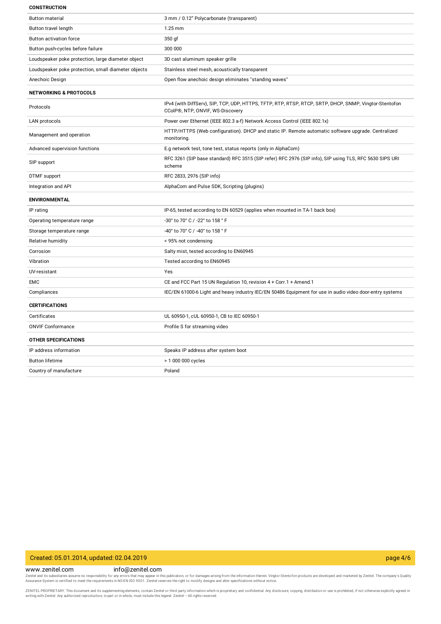#### **CONSTRUCTION**

| <b>Button material</b>                              | 3 mm / 0.12" Polycarbonate (transparent)                                                                                                   |
|-----------------------------------------------------|--------------------------------------------------------------------------------------------------------------------------------------------|
| <b>Button travel length</b>                         | $1.25$ mm                                                                                                                                  |
| <b>Button activation force</b>                      | 350 gf                                                                                                                                     |
| Button push-cycles before failure                   | 300 000                                                                                                                                    |
| Loudspeaker poke protection, large diameter object  | 3D cast aluminum speaker grille                                                                                                            |
| Loudspeaker poke protection, small diameter objects | Stainless steel mesh, acoustically transparent                                                                                             |
| Anechoic Design                                     | Open flow anechoic design eliminates "standing waves"                                                                                      |
| <b>NETWORKING &amp; PROTOCOLS</b>                   |                                                                                                                                            |
| Protocols                                           | IPv4 (with DiffServ), SIP, TCP, UDP, HTTPS, TFTP, RTP, RTSP, RTCP, SRTP, DHCP, SNMP, Vingtor-Stentofon<br>CCoIP®, NTP, ONVIF, WS-Discovery |
| LAN protocols                                       | Power over Ethernet (IEEE 802.3 a-f) Network Access Control (IEEE 802.1x)                                                                  |
| Management and operation                            | HTTP/HTTPS (Web configuration). DHCP and static IP. Remote automatic software upgrade. Centralized<br>monitoring.                          |
| Advanced supervision functions                      | E.g network test, tone test, status reports (only in AlphaCom)                                                                             |
| SIP support                                         | RFC 3261 (SIP base standard) RFC 3515 (SIP refer) RFC 2976 (SIP info), SIP using TLS, RFC 5630 SIPS URI<br>scheme                          |
| DTMF support                                        | RFC 2833, 2976 (SIP info)                                                                                                                  |
|                                                     |                                                                                                                                            |
| Integration and API                                 | AlphaCom and Pulse SDK, Scripting (plugins)                                                                                                |
| <b>ENVIRONMENTAL</b>                                |                                                                                                                                            |
| IP rating                                           | IP-65, tested according to EN 60529 (applies when mounted in TA-1 back box)                                                                |
| Operating temperature range                         | -30° to 70° C / -22° to 158 ° F                                                                                                            |
| Storage temperature range                           | -40° to 70° C / -40° to 158 ° F                                                                                                            |
| Relative humidity                                   | < 95% not condensing                                                                                                                       |
| Corrosion                                           | Salty mist, tested according to EN60945                                                                                                    |
| Vibration                                           | Tested according to EN60945                                                                                                                |
| UV-resistant                                        | Yes                                                                                                                                        |
| <b>EMC</b>                                          | CE and FCC Part 15 UN Regulation 10, revision 4 + Corr.1 + Amend.1                                                                         |
| Compliances                                         | IEC/EN 61000-6 Light and heavy industry IEC/EN 50486 Equipment for use in audio video door-entry systems                                   |
| <b>CERTIFICATIONS</b>                               |                                                                                                                                            |
| Certificates                                        | UL 60950-1, cUL 60950-1, CB to IEC 60950-1                                                                                                 |
| <b>ONVIF Conformance</b>                            | Profile S for streaming video                                                                                                              |
| <b>OTHER SPECIFICATIONS</b>                         |                                                                                                                                            |
| IP address information                              | Speaks IP address after system boot                                                                                                        |
| <b>Button lifetime</b>                              | > 1 000 000 cycles                                                                                                                         |

### Created: 05.01.2014, updated: 02.04.2019 page 4/6

www.zenitel.com info@zenitel.com

Zenitel and its subsidiaries assume no responsibility for any errors that may appear in this publication, or for damages arising from the information therein. Vingtor-Stentofon products are developed and marketed by Zenite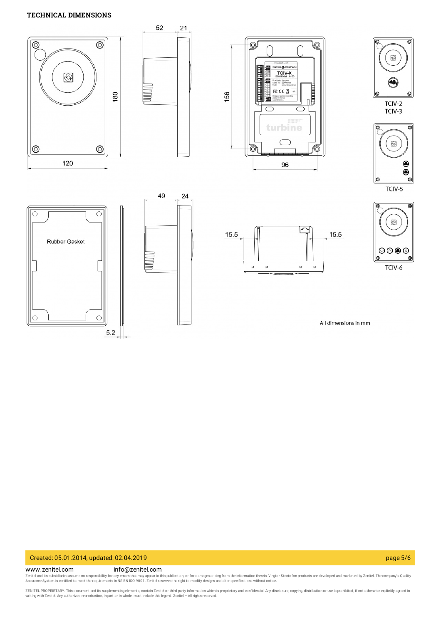## **TECHNICAL DIMENSIONS**



# Created: 05.01.2014, updated: 02.04.2019 page 5/6

www.zenitel.com info@zenitel.com

Zenitel and its subsidiaries assume no responsibility for any errors that may appear in this publication, or for damages arising from the information therein. Vingtor-Stentofon products are developed and marketed by Zenite